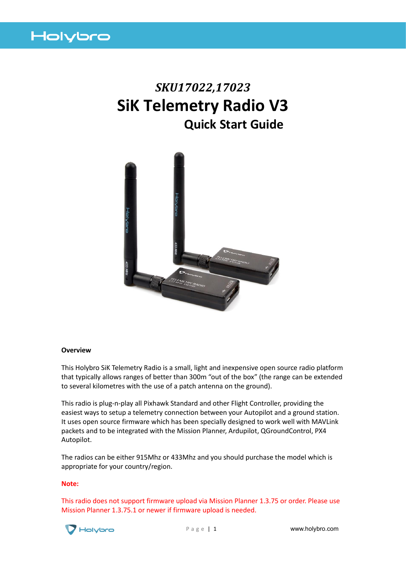

# *SKU17022,17023* **SiK Telemetry Radio V3 Quick Start Guide**



#### **Overview**

This Holybro SiK Telemetry Radio is a small, light and inexpensive open source radio platform that typically allows ranges of better than 300m "out of the box" (the range can be extended to several kilometres with the use of a patch antenna on the ground).

This radio is plug-n-play all Pixhawk Standard and other Flight Controller, providing the easiest ways to setup a telemetry connection between your Autopilot and a ground station. It uses open source firmware which has been specially designed to work well with MAVLink packets and to be integrated with the Mission Planner, Ardupilot, QGroundControl, PX4 Autopilot.

The radios can be either 915Mhz or 433Mhz and you should purchase the model which is appropriate for your country/region.

#### **Note:**

This radio does not support firmware upload via Mission Planner 1.3.75 or order. Please use Mission Planner 1.3.75.1 or newer if firmware upload is needed.



P a g e | 1 **www.holybro.com**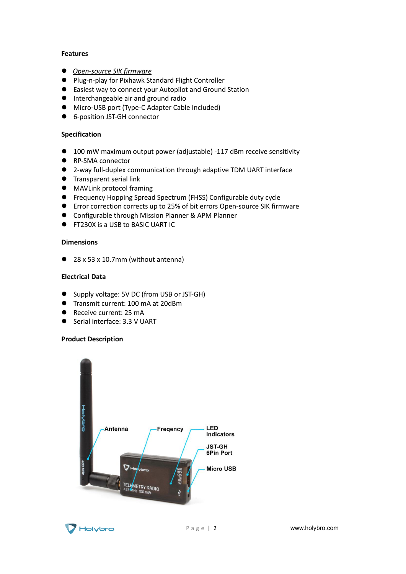## **Features**

- ⚫ *[Open-source SIK firmware](https://github.com/tridge/SiK)*
- ⚫ Plug-n-play for Pixhawk Standard Flight Controller
- Easiest way to connect your Autopilot and Ground Station
- ⚫ Interchangeable air and ground radio
- Micro-USB port (Type-C Adapter Cable Included)
- 6-position JST-GH connector

# **Specification**

- 100 mW maximum output power (adjustable) -117 dBm receive sensitivity
- RP-SMA connector
- 2-way full-duplex communication through adaptive TDM UART interface
- ⚫ Transparent serial link
- ⚫ MAVLink protocol framing
- Frequency Hopping Spread Spectrum (FHSS) Configurable duty cycle
- ⚫ Error correction corrects up to 25% of bit errors Open-source SIK firmware
- Configurable through Mission Planner & APM Planner
- FT230X is a USB to BASIC UART IC

## **Dimensions**

● 28 x 53 x 10.7mm (without antenna)

## **Electrical Data**

- Supply voltage: 5V DC (from USB or JST-GH)
- Transmit current: 100 mA at 20dBm
- Receive current: 25 mA
- Serial interface: 3.3 V UART

## **Product Description**